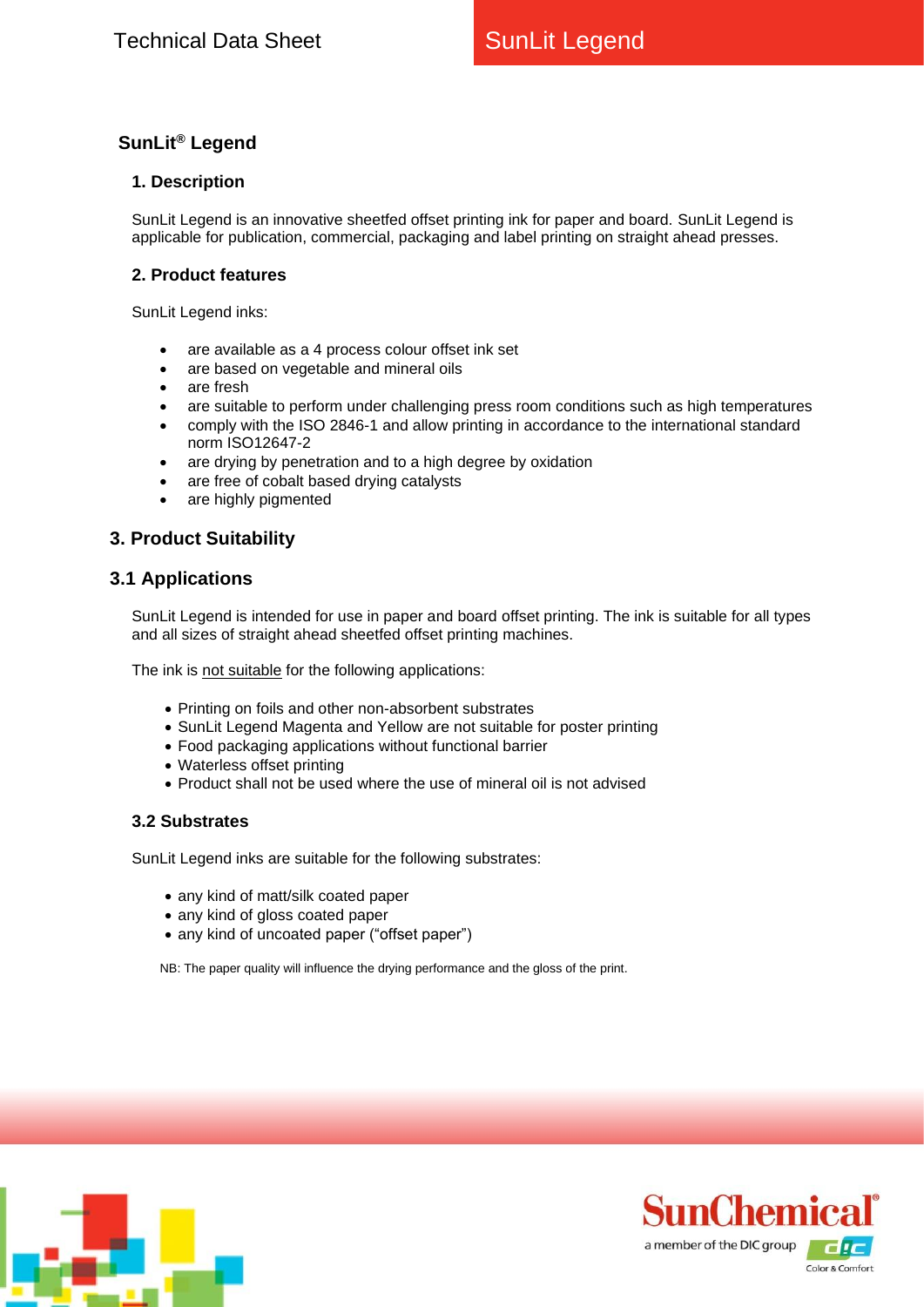# **SunLit® Legend**

### **1. Description**

SunLit Legend is an innovative sheetfed offset printing ink for paper and board. SunLit Legend is applicable for publication, commercial, packaging and label printing on straight ahead presses.

#### **2. Product features**

SunLit Legend inks:

- are available as a 4 process colour offset ink set
- are based on vegetable and mineral oils
- are fresh
- are suitable to perform under challenging press room conditions such as high temperatures
- comply with the ISO 2846-1 and allow printing in accordance to the international standard norm ISO12647-2
- are drying by penetration and to a high degree by oxidation
- are free of cobalt based drying catalysts
- are highly pigmented

## **3. Product Suitability**

## **3.1 Applications**

SunLit Legend is intended for use in paper and board offset printing. The ink is suitable for all types and all sizes of straight ahead sheetfed offset printing machines.

The ink is not suitable for the following applications:

- Printing on foils and other non-absorbent substrates
- SunLit Legend Magenta and Yellow are not suitable for poster printing
- Food packaging applications without functional barrier
- Waterless offset printing
- Product shall not be used where the use of mineral oil is not advised

#### **3.2 Substrates**

SunLit Legend inks are suitable for the following substrates:

- any kind of matt/silk coated paper
- any kind of gloss coated paper
- any kind of uncoated paper ("offset paper")

NB: The paper quality will influence the drying performance and the gloss of the print.



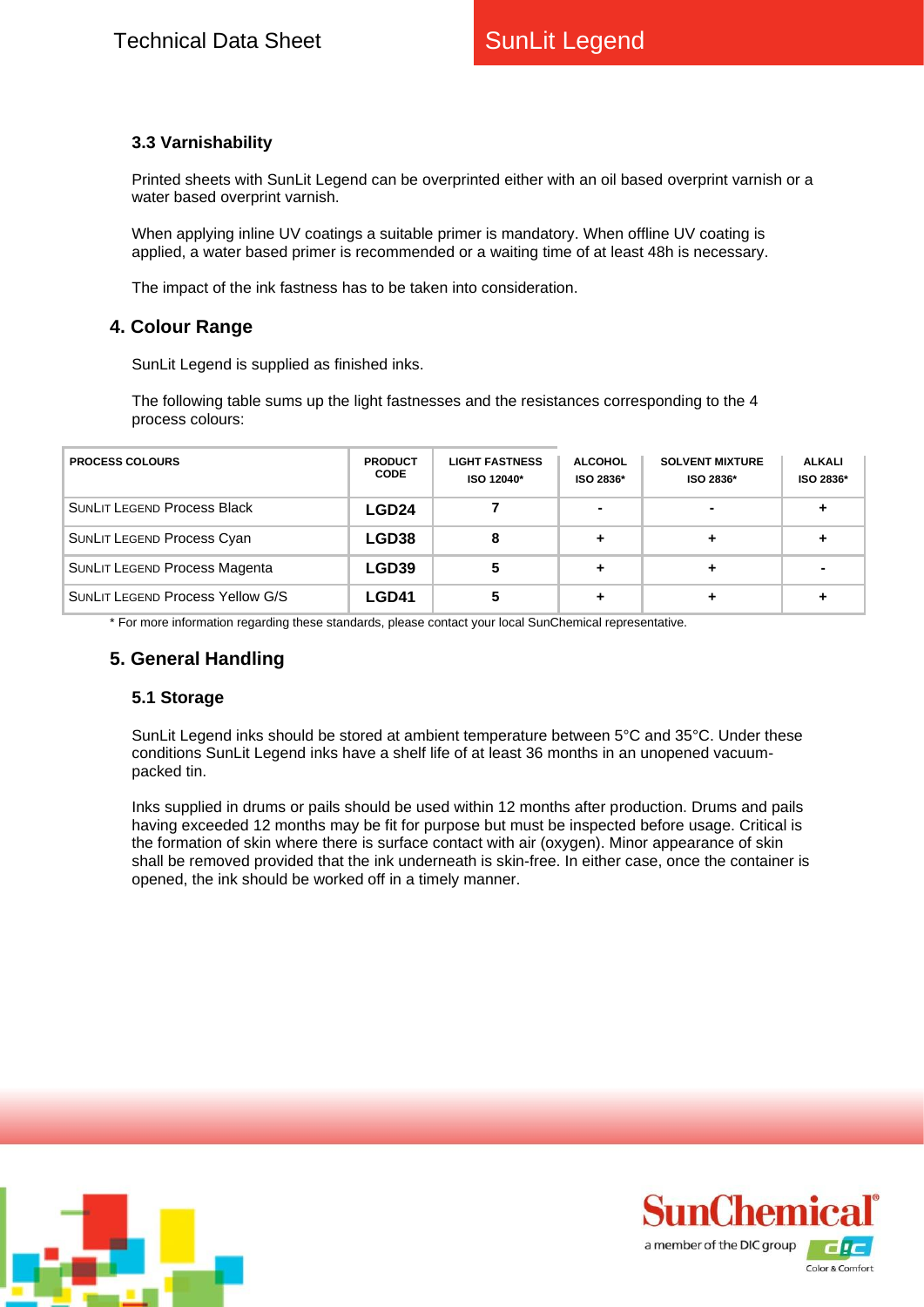## **3.3 Varnishability**

Printed sheets with SunLit Legend can be overprinted either with an oil based overprint varnish or a water based overprint varnish.

When applying inline UV coatings a suitable primer is mandatory. When offline UV coating is applied, a water based primer is recommended or a waiting time of at least 48h is necessary.

The impact of the ink fastness has to be taken into consideration.

## **4. Colour Range**

SunLit Legend is supplied as finished inks.

The following table sums up the light fastnesses and the resistances corresponding to the 4 process colours:

| <b>PROCESS COLOURS</b>                  | <b>PRODUCT</b><br><b>CODE</b> | <b>LIGHT FASTNESS</b><br>ISO 12040* | <b>ALCOHOL</b><br>ISO 2836* | <b>SOLVENT MIXTURE</b><br>ISO 2836* | ALKALI<br>ISO 2836* |
|-----------------------------------------|-------------------------------|-------------------------------------|-----------------------------|-------------------------------------|---------------------|
| <b>SUNLIT LEGEND Process Black</b>      | LGD24                         |                                     | -                           |                                     |                     |
| <b>SUNLIT LEGEND Process Cyan</b>       | LGD38                         | 8                                   |                             |                                     |                     |
| <b>SUNLIT LEGEND Process Magenta</b>    | LGD39                         |                                     |                             |                                     |                     |
| <b>SUNLIT LEGEND Process Yellow G/S</b> | <b>LGD41</b>                  |                                     |                             |                                     |                     |

\* For more information regarding these standards, please contact your local SunChemical representative.

## **5. General Handling**

#### **5.1 Storage**

SunLit Legend inks should be stored at ambient temperature between 5°C and 35°C. Under these conditions SunLit Legend inks have a shelf life of at least 36 months in an unopened vacuumpacked tin.

Inks supplied in drums or pails should be used within 12 months after production. Drums and pails having exceeded 12 months may be fit for purpose but must be inspected before usage. Critical is the formation of skin where there is surface contact with air (oxygen). Minor appearance of skin shall be removed provided that the ink underneath is skin-free. In either case, once the container is opened, the ink should be worked off in a timely manner.



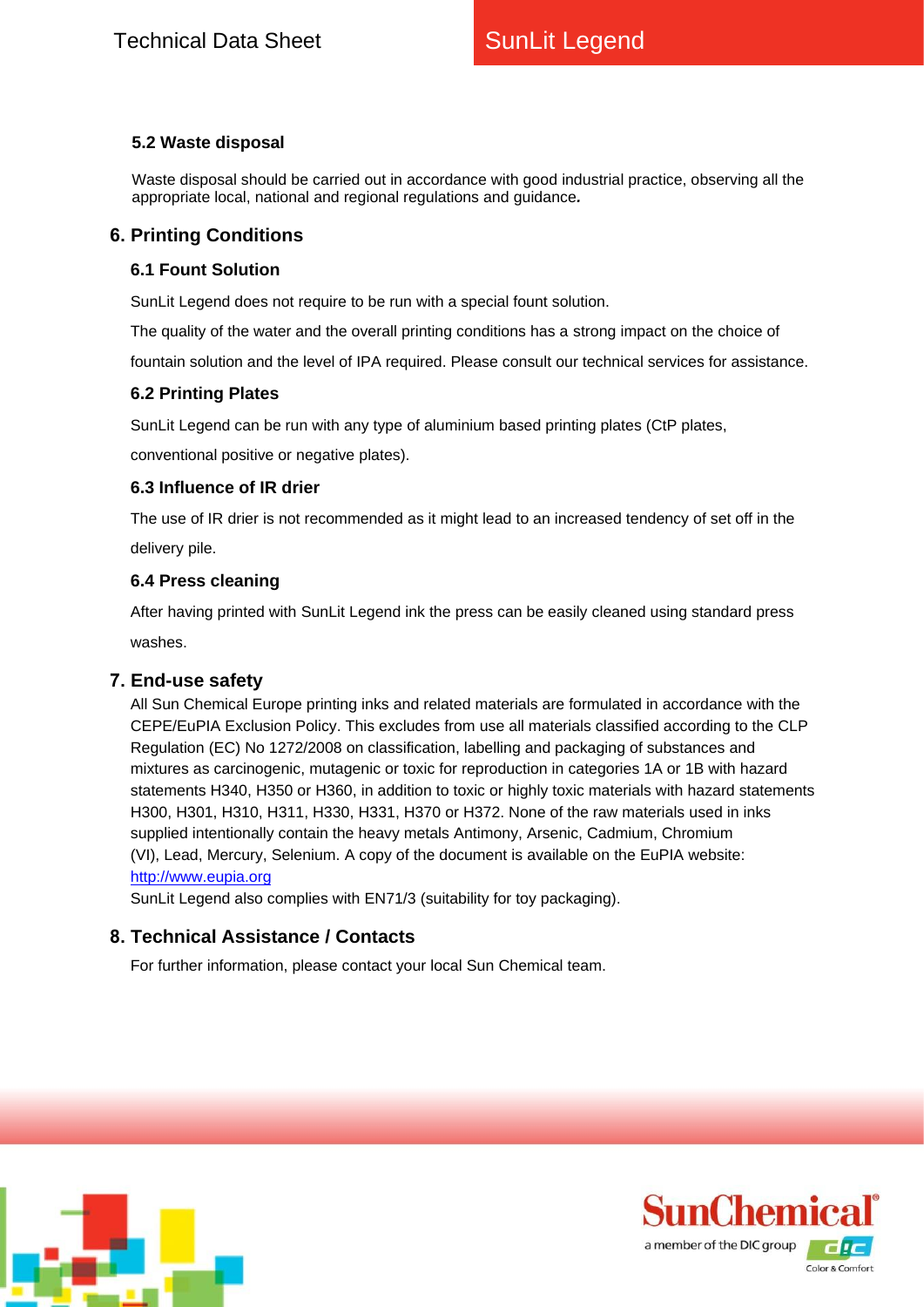## **5.2 Waste disposal**

Waste disposal should be carried out in accordance with good industrial practice, observing all the appropriate local, national and regional regulations and guidance*.*

## **6. Printing Conditions**

### **6.1 Fount Solution**

SunLit Legend does not require to be run with a special fount solution.

The quality of the water and the overall printing conditions has a strong impact on the choice of fountain solution and the level of IPA required. Please consult our technical services for assistance.

## **6.2 Printing Plates**

SunLit Legend can be run with any type of aluminium based printing plates (CtP plates,

conventional positive or negative plates).

### **6.3 Influence of IR drier**

The use of IR drier is not recommended as it might lead to an increased tendency of set off in the delivery pile.

## **6.4 Press cleaning**

After having printed with SunLit Legend ink the press can be easily cleaned using standard press washes.

## **7. End-use safety**

All Sun Chemical Europe printing inks and related materials are formulated in accordance with the CEPE/EuPIA Exclusion Policy. This excludes from use all materials classified according to the CLP Regulation (EC) No 1272/2008 on classification, labelling and packaging of substances and mixtures as carcinogenic, mutagenic or toxic for reproduction in categories 1A or 1B with hazard statements H340, H350 or H360, in addition to toxic or highly toxic materials with hazard statements H300, H301, H310, H311, H330, H331, H370 or H372. None of the raw materials used in inks supplied intentionally contain the heavy metals Antimony, Arsenic, Cadmium, Chromium (VI), Lead, Mercury, Selenium. A copy of the document is available on the EuPIA website: [http://www.eupia.org](http://www.eupia.org/)

SunLit Legend also complies with EN71/3 (suitability for toy packaging).

## **8. Technical Assistance / Contacts**

For further information, please contact your local Sun Chemical team.